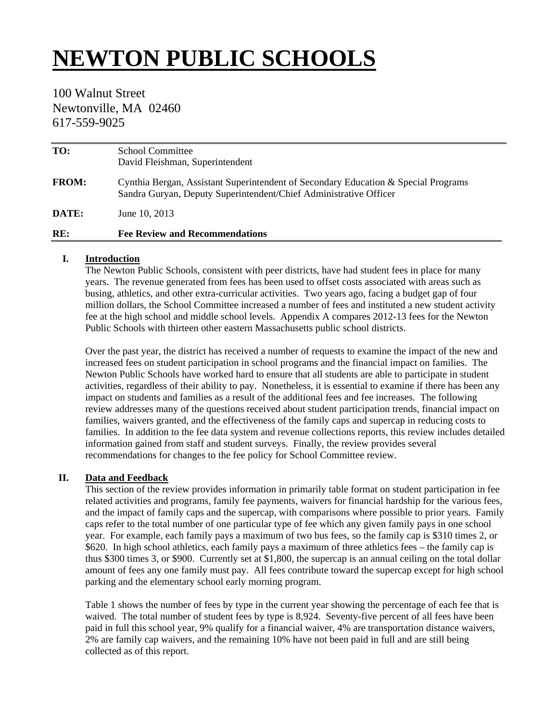# **NEWTON PUBLIC SCHOOLS**

# 100 Walnut Street Newtonville, MA 02460 617-559-9025

| TO:          | <b>School Committee</b><br>David Fleishman, Superintendent                                                                                              |
|--------------|---------------------------------------------------------------------------------------------------------------------------------------------------------|
| <b>FROM:</b> | Cynthia Bergan, Assistant Superintendent of Secondary Education & Special Programs<br>Sandra Guryan, Deputy Superintendent/Chief Administrative Officer |
| DATE:        | June 10, 2013                                                                                                                                           |
| RE:          | <b>Fee Review and Recommendations</b>                                                                                                                   |

#### **I. Introduction**

The Newton Public Schools, consistent with peer districts, have had student fees in place for many years. The revenue generated from fees has been used to offset costs associated with areas such as busing, athletics, and other extra-curricular activities. Two years ago, facing a budget gap of four million dollars, the School Committee increased a number of fees and instituted a new student activity fee at the high school and middle school levels. Appendix A compares 2012-13 fees for the Newton Public Schools with thirteen other eastern Massachusetts public school districts.

Over the past year, the district has received a number of requests to examine the impact of the new and increased fees on student participation in school programs and the financial impact on families. The Newton Public Schools have worked hard to ensure that all students are able to participate in student activities, regardless of their ability to pay. Nonetheless, it is essential to examine if there has been any impact on students and families as a result of the additional fees and fee increases. The following review addresses many of the questions received about student participation trends, financial impact on families, waivers granted, and the effectiveness of the family caps and supercap in reducing costs to families. In addition to the fee data system and revenue collections reports, this review includes detailed information gained from staff and student surveys. Finally, the review provides several recommendations for changes to the fee policy for School Committee review.

## **II. Data and Feedback**

This section of the review provides information in primarily table format on student participation in fee related activities and programs, family fee payments, waivers for financial hardship for the various fees, and the impact of family caps and the supercap, with comparisons where possible to prior years. Family caps refer to the total number of one particular type of fee which any given family pays in one school year. For example, each family pays a maximum of two bus fees, so the family cap is \$310 times 2, or \$620. In high school athletics, each family pays a maximum of three athletics fees – the family cap is thus \$300 times 3, or \$900. Currently set at \$1,800, the supercap is an annual ceiling on the total dollar amount of fees any one family must pay. All fees contribute toward the supercap except for high school parking and the elementary school early morning program.

Table 1 shows the number of fees by type in the current year showing the percentage of each fee that is waived. The total number of student fees by type is 8,924. Seventy-five percent of all fees have been paid in full this school year, 9% qualify for a financial waiver, 4% are transportation distance waivers, 2% are family cap waivers, and the remaining 10% have not been paid in full and are still being collected as of this report.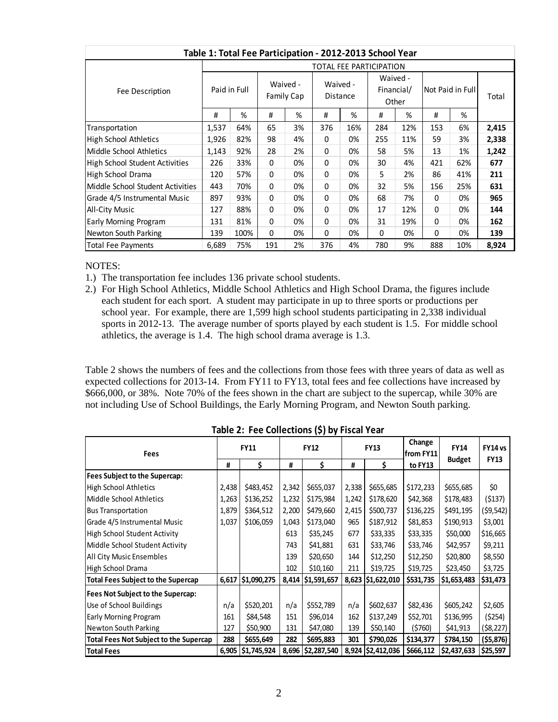| Table 1: Total Fee Participation - 2012-2013 School Year |                                        |      |                             |    |                                 |     |                  |     |       |     |       |
|----------------------------------------------------------|----------------------------------------|------|-----------------------------|----|---------------------------------|-----|------------------|-----|-------|-----|-------|
|                                                          | TOTAL FEE PARTICIPATION                |      |                             |    |                                 |     |                  |     |       |     |       |
| Fee Description                                          | Waived -<br>Paid in Full<br>Family Cap |      | Waived -<br><b>Distance</b> |    | Waived -<br>Financial/<br>Other |     | Not Paid in Full |     | Total |     |       |
|                                                          | #                                      | %    | #                           | %  | #                               | %   | #                | %   | #     | %   |       |
| Transportation                                           | 1,537                                  | 64%  | 65                          | 3% | 376                             | 16% | 284              | 12% | 153   | 6%  | 2,415 |
| <b>High School Athletics</b>                             | 1,926                                  | 82%  | 98                          | 4% | $\Omega$                        | 0%  | 255              | 11% | 59    | 3%  | 2,338 |
| Middle School Athletics                                  | 1,143                                  | 92%  | 28                          | 2% | 0                               | 0%  | 58               | 5%  | 13    | 1%  | 1,242 |
| <b>High School Student Activities</b>                    | 226                                    | 33%  | 0                           | 0% | 0                               | 0%  | 30               | 4%  | 421   | 62% | 677   |
| High School Drama                                        | 120                                    | 57%  | $\Omega$                    | 0% | $\Omega$                        | 0%  | 5                | 2%  | 86    | 41% | 211   |
| Middle School Student Activities                         | 443                                    | 70%  | $\Omega$                    | 0% | 0                               | 0%  | 32               | 5%  | 156   | 25% | 631   |
| Grade 4/5 Instrumental Music                             | 897                                    | 93%  | 0                           | 0% | 0                               | 0%  | 68               | 7%  | 0     | 0%  | 965   |
| <b>All-City Music</b>                                    | 127                                    | 88%  | 0                           | 0% | 0                               | 0%  | 17               | 12% | 0     | 0%  | 144   |
| Early Morning Program                                    | 131                                    | 81%  | 0                           | 0% | 0                               | 0%  | 31               | 19% | 0     | 0%  | 162   |
| Newton South Parking                                     | 139                                    | 100% | 0                           | 0% | 0                               | 0%  | $\Omega$         | 0%  | 0     | 0%  | 139   |
| <b>Total Fee Payments</b>                                | 6,689                                  | 75%  | 191                         | 2% | 376                             | 4%  | 780              | 9%  | 888   | 10% | 8,924 |

NOTES:

- 1.) The transportation fee includes 136 private school students.
- 2.) For High School Athletics, Middle School Athletics and High School Drama, the figures include each student for each sport. A student may participate in up to three sports or productions per school year. For example, there are 1,599 high school students participating in 2,338 individual sports in 2012-13. The average number of sports played by each student is 1.5. For middle school athletics, the average is 1.4. The high school drama average is 1.3.

Table 2 shows the numbers of fees and the collections from those fees with three years of data as well as expected collections for 2013-14. From FY11 to FY13, total fees and fee collections have increased by \$666,000, or 38%. Note 70% of the fees shown in the chart are subject to the supercap, while 30% are not including Use of School Buildings, the Early Morning Program, and Newton South parking.

| <b>Fees</b>                                   | <b>FY11</b> |                     | <b>FY12</b> |                   | <b>FY13</b> |                   | Change<br>from FY11 | <b>FY14</b>   | FY14 vs<br><b>FY13</b> |
|-----------------------------------------------|-------------|---------------------|-------------|-------------------|-------------|-------------------|---------------------|---------------|------------------------|
|                                               | #           | \$                  | #           | Ś.                | #           | \$                | to FY13             | <b>Budget</b> |                        |
| Fees Subject to the Supercap:                 |             |                     |             |                   |             |                   |                     |               |                        |
| <b>High School Athletics</b>                  | 2,438       | \$483,452           | 2,342       | \$655,037         | 2,338       | \$655,685         | \$172,233           | \$655,685     | \$0                    |
| Middle School Athletics                       | 1,263       | \$136,252           | 1,232       | \$175,984         | 1,242       | \$178,620         | \$42,368            | \$178,483     | ( \$137)               |
| <b>Bus Transportation</b>                     | 1,879       | \$364,512           | 2,200       | \$479,660         | 2,415       | \$500,737         | \$136,225           | \$491,195     | (\$9,542)              |
| Grade 4/5 Instrumental Music                  | 1,037       | \$106,059           | 1,043       | \$173,040         | 965         | \$187,912         | \$81,853            | \$190,913     | \$3,001                |
| <b>High School Student Activity</b>           |             |                     | 613         | \$35,245          | 677         | \$33,335          | \$33,335            | \$50,000      | \$16,665               |
| Middle School Student Activity                |             |                     | 743         | \$41,881          | 631         | \$33,746          | \$33,746            | \$42,957      | \$9,211                |
| All City Music Ensembles                      |             |                     | 139         | \$20,650          | 144         | \$12,250          | \$12,250            | \$20,800      | \$8,550                |
| High School Drama                             |             |                     | 102         | \$10,160          | 211         | \$19,725          | \$19,725            | \$23,450      | \$3,725                |
| <b>Total Fees Subject to the Supercap</b>     | 6,617       | \$1,090,275         | 8,414       | \$1,591,657       |             | 8,623 \$1,622,010 | \$531,735           | \$1,653,483   | \$31,473               |
| Fees Not Subject to the Supercap:             |             |                     |             |                   |             |                   |                     |               |                        |
| Use of School Buildings                       | n/a         | \$520,201           | n/a         | \$552,789         | n/a         | \$602,637         | \$82,436            | \$605,242     | \$2,605                |
| Early Morning Program                         | 161         | \$84,548            | 151         | \$96,014          | 162         | \$137,249         | \$52,701            | \$136,995     | (5254)                 |
| <b>Newton South Parking</b>                   | 127         | \$50,900            | 131         | \$47,080          | 139         | \$50,140          | (5760)              | \$41,913      | (\$8,227)              |
| <b>Total Fees Not Subject to the Supercap</b> | 288         | \$655,649           | 282         | \$695,883         | 301         | \$790,026         | \$134,377           | \$784,150     | ( \$5,876)             |
| <b>Total Fees</b>                             |             | 6,905   \$1,745,924 |             | 8,696 \$2,287,540 |             | 8,924 \$2,412,036 | \$666,112           | \$2,437,633   | \$25,597               |

**Table 2: Fee Collections (\$) by Fiscal Year**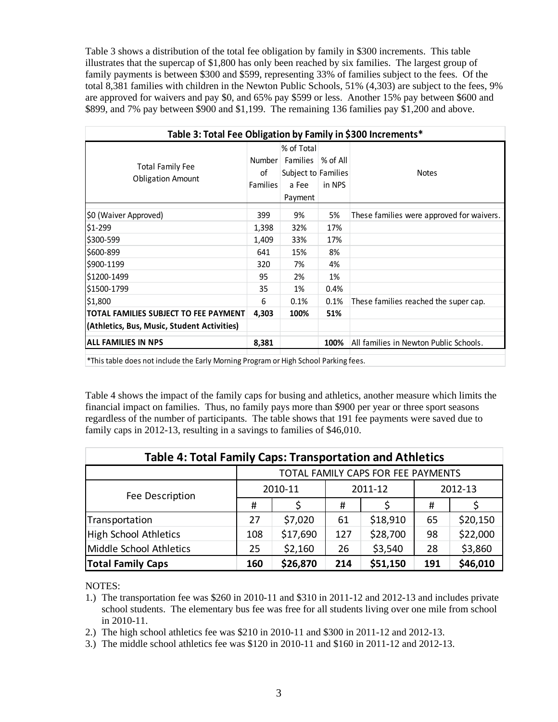Table 3 shows a distribution of the total fee obligation by family in \$300 increments. This table illustrates that the supercap of \$1,800 has only been reached by six families. The largest group of family payments is between \$300 and \$599, representing 33% of families subject to the fees. Of the total 8,381 families with children in the Newton Public Schools, 51% (4,303) are subject to the fees, 9% are approved for waivers and pay \$0, and 65% pay \$599 or less. Another 15% pay between \$600 and \$899, and 7% pay between \$900 and \$1,199. The remaining 136 families pay \$1,200 and above.

| Table 3: Total Fee Obligation by Family in \$300 Increments* |                                 |                                                                          |                    |                                           |  |  |  |  |  |
|--------------------------------------------------------------|---------------------------------|--------------------------------------------------------------------------|--------------------|-------------------------------------------|--|--|--|--|--|
| <b>Total Family Fee</b><br><b>Obligation Amount</b>          | Number<br>οf<br><b>Families</b> | % of Total<br><b>Families</b><br>Subject to Families<br>a Fee<br>Payment | % of All<br>in NPS | <b>Notes</b>                              |  |  |  |  |  |
| \$0 (Waiver Approved)                                        | 399                             | 9%                                                                       | 5%                 | These families were approved for waivers. |  |  |  |  |  |
| \$1-299                                                      | 1,398                           | 32%                                                                      | 17%                |                                           |  |  |  |  |  |
| \$300-599                                                    | 1,409                           | 33%                                                                      | 17%                |                                           |  |  |  |  |  |
| \$600-899                                                    | 641                             | 15%                                                                      | 8%                 |                                           |  |  |  |  |  |
| \$900-1199                                                   | 320                             | 7%                                                                       | 4%                 |                                           |  |  |  |  |  |
| \$1200-1499                                                  | 95                              | 2%                                                                       | 1%                 |                                           |  |  |  |  |  |
| \$1500-1799                                                  | 35                              | 1%                                                                       | 0.4%               |                                           |  |  |  |  |  |
| \$1,800                                                      | 6                               | 0.1%                                                                     | 0.1%               | These families reached the super cap.     |  |  |  |  |  |
| TOTAL FAMILIES SUBJECT TO FEE PAYMENT                        | 4,303                           | 100%                                                                     | 51%                |                                           |  |  |  |  |  |
| (Athletics, Bus, Music, Student Activities)                  |                                 |                                                                          |                    |                                           |  |  |  |  |  |
| <b>ALL FAMILIES IN NPS</b>                                   | 8,381                           |                                                                          | 100%               | All families in Newton Public Schools.    |  |  |  |  |  |

\*This table does not include the Early Morning Program or High School Parking fees.

Table 4 shows the impact of the family caps for busing and athletics, another measure which limits the financial impact on families. Thus, no family pays more than \$900 per year or three sport seasons regardless of the number of participants. The table shows that 191 fee payments were saved due to family caps in 2012-13, resulting in a savings to families of \$46,010.

| <b>Table 4: Total Family Caps: Transportation and Athletics</b>                   |                                    |          |     |          |         |          |  |  |  |
|-----------------------------------------------------------------------------------|------------------------------------|----------|-----|----------|---------|----------|--|--|--|
|                                                                                   | TOTAL FAMILY CAPS FOR FEE PAYMENTS |          |     |          |         |          |  |  |  |
| Fee Description                                                                   |                                    | 2010-11  |     | 2011-12  | 2012-13 |          |  |  |  |
|                                                                                   | #                                  |          | #   |          | #       |          |  |  |  |
| Transportation                                                                    | 27                                 | \$7,020  | 61  | \$18,910 | 65      | \$20,150 |  |  |  |
| High School Athletics                                                             | 108                                | \$17,690 | 127 | \$28,700 | 98      | \$22,000 |  |  |  |
| Middle School Athletics                                                           | 25                                 | \$2,160  | 26  | \$3,540  | 28      | \$3,860  |  |  |  |
| \$46,010<br>\$26,870<br>\$51,150<br><b>Total Family Caps</b><br>191<br>160<br>214 |                                    |          |     |          |         |          |  |  |  |

NOTES:

- 1.) The transportation fee was \$260 in 2010-11 and \$310 in 2011-12 and 2012-13 and includes private school students. The elementary bus fee was free for all students living over one mile from school in 2010-11.
- 2.) The high school athletics fee was \$210 in 2010-11 and \$300 in 2011-12 and 2012-13.
- 3.) The middle school athletics fee was \$120 in 2010-11 and \$160 in 2011-12 and 2012-13.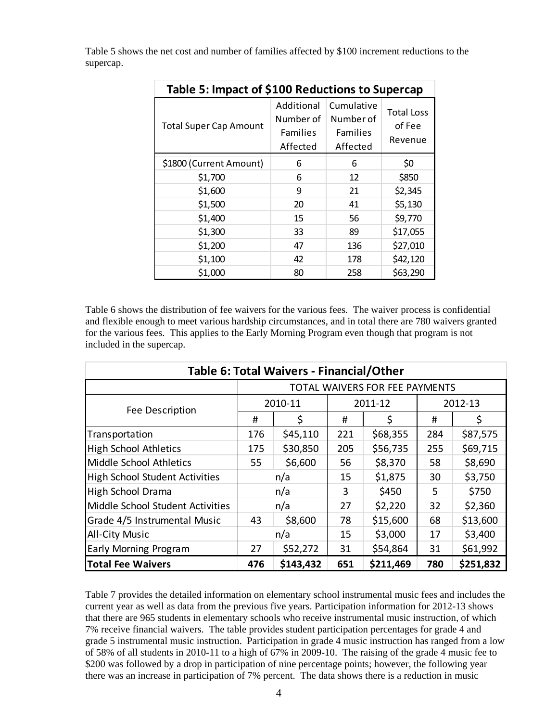| Table 5: Impact of \$100 Reductions to Supercap |                                                        |                                                        |                                        |  |  |  |  |  |  |
|-------------------------------------------------|--------------------------------------------------------|--------------------------------------------------------|----------------------------------------|--|--|--|--|--|--|
| <b>Total Super Cap Amount</b>                   | Additional<br>Number of<br><b>Families</b><br>Affected | Cumulative<br>Number of<br><b>Families</b><br>Affected | <b>Total Loss</b><br>of Fee<br>Revenue |  |  |  |  |  |  |
| \$1800 (Current Amount)                         | 6                                                      | 6                                                      | \$0                                    |  |  |  |  |  |  |
| \$1,700                                         | 6                                                      | 12                                                     | \$850                                  |  |  |  |  |  |  |
| \$1,600                                         | 9                                                      | 21                                                     | \$2,345                                |  |  |  |  |  |  |
| \$1,500                                         | 20                                                     | 41                                                     | \$5,130                                |  |  |  |  |  |  |
| \$1,400                                         | 15                                                     | 56                                                     | \$9,770                                |  |  |  |  |  |  |
| \$1,300                                         | 33                                                     | 89                                                     | \$17,055                               |  |  |  |  |  |  |
| \$1,200                                         | 47                                                     | 136                                                    | \$27,010                               |  |  |  |  |  |  |
| \$1,100                                         | 42                                                     | 178                                                    | \$42,120                               |  |  |  |  |  |  |
| \$1,000                                         | 80                                                     | 258                                                    | \$63,290                               |  |  |  |  |  |  |

Table 5 shows the net cost and number of families affected by \$100 increment reductions to the supercap.

Table 6 shows the distribution of fee waivers for the various fees. The waiver process is confidential and flexible enough to meet various hardship circumstances, and in total there are 780 waivers granted for the various fees. This applies to the Early Morning Program even though that program is not included in the supercap.

| Table 6: Total Waivers - Financial/Other |                                |           |         |           |     |           |  |  |  |  |  |
|------------------------------------------|--------------------------------|-----------|---------|-----------|-----|-----------|--|--|--|--|--|
|                                          | TOTAL WAIVERS FOR FEE PAYMENTS |           |         |           |     |           |  |  |  |  |  |
| Fee Description                          |                                | 2010-11   | 2011-12 |           |     | 2012-13   |  |  |  |  |  |
|                                          | #                              | \$        | #       | \$        | #   | \$        |  |  |  |  |  |
| Transportation                           | 176                            | \$45,110  | 221     | \$68,355  | 284 | \$87,575  |  |  |  |  |  |
| <b>High School Athletics</b>             | 175                            | \$30,850  | 205     | \$56,735  | 255 | \$69,715  |  |  |  |  |  |
| Middle School Athletics                  | \$6,600<br>55                  |           | 56      | \$8,370   | 58  | \$8,690   |  |  |  |  |  |
| <b>High School Student Activities</b>    |                                | n/a       | 15      | \$1,875   | 30  | \$3,750   |  |  |  |  |  |
| High School Drama                        |                                | n/a       | 3       | \$450     | 5.  | \$750     |  |  |  |  |  |
| Middle School Student Activities         |                                | n/a       | 27      | \$2,220   | 32  | \$2,360   |  |  |  |  |  |
| Grade 4/5 Instrumental Music             | 43                             | \$8,600   | 78      | \$15,600  | 68  | \$13,600  |  |  |  |  |  |
| <b>All-City Music</b>                    |                                | n/a       | 15      | \$3,000   | 17  | \$3,400   |  |  |  |  |  |
| Early Morning Program                    | 27                             | \$52,272  | 31      | \$54,864  | 31  | \$61,992  |  |  |  |  |  |
| <b>Total Fee Waivers</b>                 | 476                            | \$143,432 | 651     | \$211,469 | 780 | \$251,832 |  |  |  |  |  |

Table 7 provides the detailed information on elementary school instrumental music fees and includes the current year as well as data from the previous five years. Participation information for 2012-13 shows that there are 965 students in elementary schools who receive instrumental music instruction, of which 7% receive financial waivers. The table provides student participation percentages for grade 4 and grade 5 instrumental music instruction. Participation in grade 4 music instruction has ranged from a low of 58% of all students in 2010-11 to a high of 67% in 2009-10. The raising of the grade 4 music fee to \$200 was followed by a drop in participation of nine percentage points; however, the following year there was an increase in participation of 7% percent. The data shows there is a reduction in music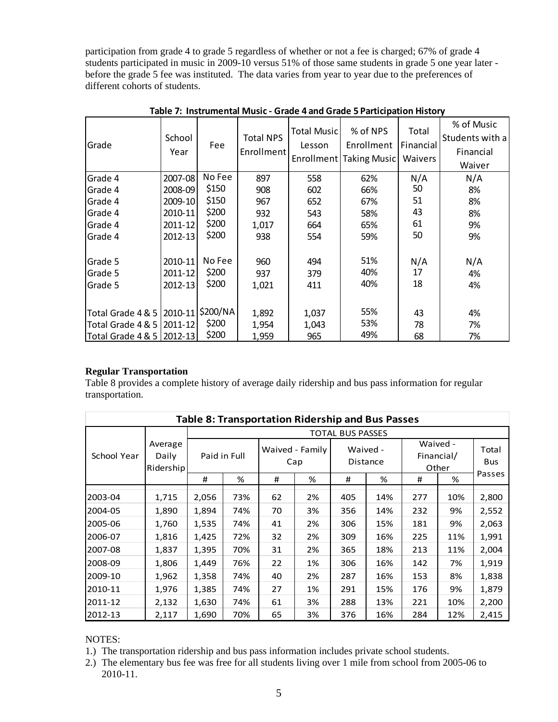participation from grade 4 to grade 5 regardless of whether or not a fee is charged; 67% of grade 4 students participated in music in 2009-10 versus 51% of those same students in grade 5 one year later before the grade 5 fee was instituted. The data varies from year to year due to the preferences of different cohorts of students.

| No Fee<br>N/A<br>Grade 4<br>2007-08<br>897<br>558<br>62%<br>\$150<br>50<br>Grade 4<br>2008-09<br>66%<br>908<br>602<br>\$150<br>51<br>2009-10<br>Grade 4<br>67%<br>967<br>652   | % of Music<br>Students with a<br>Financial<br>Waiver |
|--------------------------------------------------------------------------------------------------------------------------------------------------------------------------------|------------------------------------------------------|
|                                                                                                                                                                                | N/A                                                  |
|                                                                                                                                                                                | 8%                                                   |
|                                                                                                                                                                                | 8%                                                   |
| \$200<br>43<br>2010-11<br>58%<br>Grade 4<br>932<br>543                                                                                                                         | 8%                                                   |
| \$200<br>61<br>Grade 4<br>2011-12<br>1,017<br>65%<br>664                                                                                                                       | 9%                                                   |
| \$200<br>50<br>Grade 4<br>2012-13<br>59%<br>938<br>554                                                                                                                         | 9%                                                   |
| 51%<br>No Fee<br>2010-11<br>N/A<br>Grade 5<br>960<br>494<br>\$200<br>40%<br>17<br>2011-12<br>Grade 5<br>937<br>379<br>\$200<br>18<br>40%<br>2012-13<br>Grade 5<br>1,021<br>411 | N/A<br>4%<br>4%                                      |
| \$200/NA<br>55%<br>Total Grade 4 & 5   2010-11<br>1,892<br>1,037<br>43<br>\$200<br>53%                                                                                         | 4%                                                   |
| Total Grade 4 & 5   2011-12<br>1,954<br>1,043<br>78<br>\$200<br>49%<br>Total Grade 4 & 5 2012-13<br>1,959<br>965<br>68                                                         | 7%<br>7%                                             |

**Table 7: Instrumental Music ‐ Grade 4 and Grade 5 Participation History**

## **Regular Transportation**

Table 8 provides a complete history of average daily ridership and bus pass information for regular transportation.

|             | <b>Table 8: Transportation Ridership and Bus Passes</b> |       |                                        |    |                             |     |                                 |     |                     |        |  |
|-------------|---------------------------------------------------------|-------|----------------------------------------|----|-----------------------------|-----|---------------------------------|-----|---------------------|--------|--|
|             | <b>TOTAL BUS PASSES</b>                                 |       |                                        |    |                             |     |                                 |     |                     |        |  |
| School Year | Average<br>Daily<br>Ridership                           |       | Waived - Family<br>Paid in Full<br>Cap |    | Waived -<br><b>Distance</b> |     | Waived -<br>Financial/<br>Other |     | Total<br><b>Bus</b> |        |  |
|             |                                                         | #     | %                                      | #  | %                           | #   | %                               | #   | %                   | Passes |  |
| 2003-04     | 1,715                                                   | 2,056 | 73%                                    | 62 | 2%                          | 405 | 14%                             | 277 | 10%                 | 2,800  |  |
| 2004-05     | 1,890                                                   | 1,894 | 74%                                    | 70 | 3%                          | 356 | 14%                             | 232 | 9%                  | 2,552  |  |
| 2005-06     | 1,760                                                   | 1,535 | 74%                                    | 41 | 2%                          | 306 | 15%                             | 181 | 9%                  | 2,063  |  |
| 2006-07     | 1,816                                                   | 1,425 | 72%                                    | 32 | 2%                          | 309 | 16%                             | 225 | 11%                 | 1,991  |  |
| 2007-08     | 1,837                                                   | 1,395 | 70%                                    | 31 | 2%                          | 365 | 18%                             | 213 | 11%                 | 2,004  |  |
| 2008-09     | 1,806                                                   | 1,449 | 76%                                    | 22 | 1%                          | 306 | 16%                             | 142 | 7%                  | 1,919  |  |
| 2009-10     | 1,962                                                   | 1,358 | 74%                                    | 40 | 2%                          | 287 | 16%                             | 153 | 8%                  | 1,838  |  |
| 2010-11     | 1,976                                                   | 1,385 | 74%                                    | 27 | 1%                          | 291 | 15%                             | 176 | 9%                  | 1,879  |  |
| 2011-12     | 2,132                                                   | 1,630 | 74%                                    | 61 | 3%                          | 288 | 13%                             | 221 | 10%                 | 2,200  |  |
| 2012-13     | 2,117                                                   | 1,690 | 70%                                    | 65 | 3%                          | 376 | 16%                             | 284 | 12%                 | 2,415  |  |

NOTES:

- 1.) The transportation ridership and bus pass information includes private school students.
- 2.) The elementary bus fee was free for all students living over 1 mile from school from 2005-06 to 2010-11.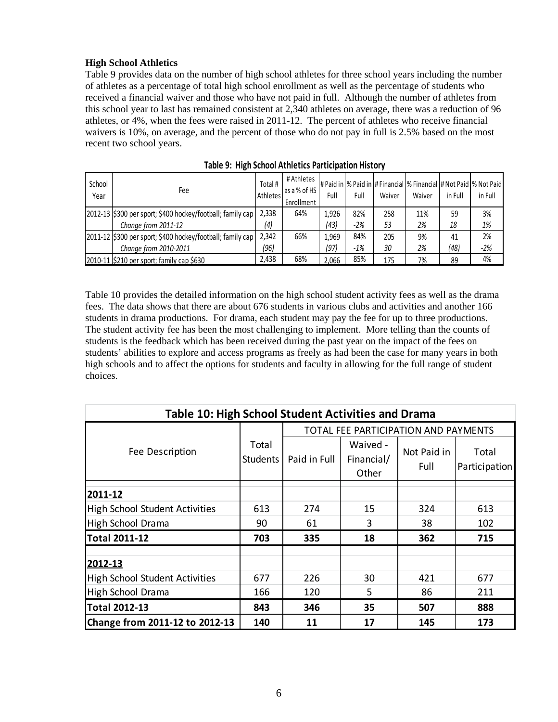#### **High School Athletics**

Table 9 provides data on the number of high school athletes for three school years including the number of athletes as a percentage of total high school enrollment as well as the percentage of students who received a financial waiver and those who have not paid in full. Although the number of athletes from this school year to last has remained consistent at 2,340 athletes on average, there was a reduction of 96 athletes, or 4%, when the fees were raised in 2011-12. The percent of athletes who receive financial waivers is 10%, on average, and the percent of those who do not pay in full is 2.5% based on the most recent two school years.

| School<br>Year | Fee                                                          | Total #<br>Athletes | # Athletes<br>as a % of HS<br>Enrollment | Full  | Full  | Waiver | # Paid in  % Paid in  # Financial  % Financial  # Not Paid  % Not Paid<br>Waiver | in Full | in Full |
|----------------|--------------------------------------------------------------|---------------------|------------------------------------------|-------|-------|--------|----------------------------------------------------------------------------------|---------|---------|
|                | [2012-13] \$300 per sport; \$400 hockey/football; family cap | 2,338               | 64%                                      | 1,926 | 82%   | 258    | 11%                                                                              | 59      | 3%      |
|                | Change from 2011-12                                          | (4)                 |                                          | (43)  | $-2%$ | 53     | 2%                                                                               | 18      | 1%      |
|                | 2011-12 \$300 per sport; \$400 hockey/football; family cap   | 2,342               | 66%                                      | 1.969 | 84%   | 205    | 9%                                                                               | 41      | 2%      |
|                | Change from 2010-2011                                        | (96)                |                                          | (97)  | $-1%$ | 30     | 2%                                                                               | (48)    | $-2%$   |
|                | 2010-11 \$210 per sport; family cap \$630                    | 2,438               | 68%                                      | 2.066 | 85%   | 175    | 7%                                                                               | 89      | 4%      |

|  | Table 9: High School Athletics Participation History |  |  |  |
|--|------------------------------------------------------|--|--|--|
|--|------------------------------------------------------|--|--|--|

Table 10 provides the detailed information on the high school student activity fees as well as the drama fees. The data shows that there are about 676 students in various clubs and activities and another 166 students in drama productions. For drama, each student may pay the fee for up to three productions. The student activity fee has been the most challenging to implement. More telling than the counts of students is the feedback which has been received during the past year on the impact of the fees on students' abilities to explore and access programs as freely as had been the case for many years in both high schools and to affect the options for students and faculty in allowing for the full range of student choices.

| Table 10: High School Student Activities and Drama |                          |                                      |                                 |                     |                        |  |  |  |  |
|----------------------------------------------------|--------------------------|--------------------------------------|---------------------------------|---------------------|------------------------|--|--|--|--|
|                                                    |                          | TOTAL FEE PARTICIPATION AND PAYMENTS |                                 |                     |                        |  |  |  |  |
| Fee Description                                    | Total<br><b>Students</b> | Paid in Full                         | Waived -<br>Financial/<br>Other | Not Paid in<br>Full | Total<br>Participation |  |  |  |  |
| 2011-12                                            |                          |                                      |                                 |                     |                        |  |  |  |  |
| High School Student Activities                     | 613                      | 274                                  | 15                              | 324                 | 613                    |  |  |  |  |
| High School Drama                                  | 90                       | 61                                   | 3                               | 38                  | 102                    |  |  |  |  |
| Total 2011-12                                      | 703                      | 335                                  | 18                              | 362                 | 715                    |  |  |  |  |
| 2012-13                                            |                          |                                      |                                 |                     |                        |  |  |  |  |
| High School Student Activities                     | 677                      | 226                                  | 30                              | 421                 | 677                    |  |  |  |  |
| High School Drama                                  | 166                      | 120                                  | 5                               | 86                  | 211                    |  |  |  |  |
| Total 2012-13                                      | 843                      | 346                                  | 35                              | 507                 | 888                    |  |  |  |  |
| Change from 2011-12 to 2012-13                     | 140                      | 11                                   | 17                              | 145                 | 173                    |  |  |  |  |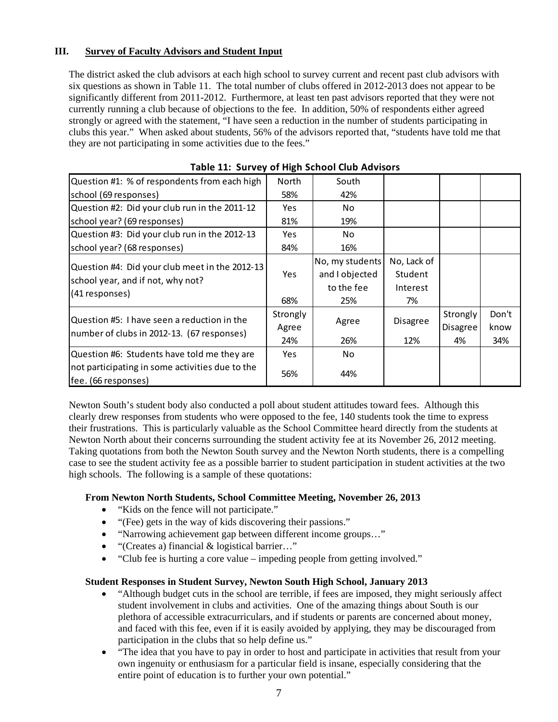#### **III. Survey of Faculty Advisors and Student Input**

The district asked the club advisors at each high school to survey current and recent past club advisors with six questions as shown in Table 11. The total number of clubs offered in 2012-2013 does not appear to be significantly different from 2011-2012. Furthermore, at least ten past advisors reported that they were not currently running a club because of objections to the fee. In addition, 50% of respondents either agreed strongly or agreed with the statement, "I have seen a reduction in the number of students participating in clubs this year." When asked about students, 56% of the advisors reported that, "students have told me that they are not participating in some activities due to the fees."

| Question #1: % of respondents from each high                                        | North      | South           |                 |                 |       |
|-------------------------------------------------------------------------------------|------------|-----------------|-----------------|-----------------|-------|
| school (69 responses)                                                               | 58%        | 42%             |                 |                 |       |
| Question #2: Did your club run in the 2011-12                                       | Yes        | No              |                 |                 |       |
| school year? (69 responses)                                                         | 81%        | 19%             |                 |                 |       |
| Question #3: Did your club run in the 2012-13                                       | <b>Yes</b> | No              |                 |                 |       |
| school year? (68 responses)                                                         | 84%        | 16%             |                 |                 |       |
|                                                                                     |            | No, my students | No, Lack of     |                 |       |
| Question #4: Did your club meet in the 2012-13<br>school year, and if not, why not? | <b>Yes</b> | and I objected  | Student         |                 |       |
| (41 responses)                                                                      |            | to the fee      | Interest        |                 |       |
|                                                                                     | 68%        | 25%             | 7%              |                 |       |
| Question #5: I have seen a reduction in the                                         | Strongly   |                 |                 | Strongly        | Don't |
| number of clubs in 2012-13. (67 responses)                                          | Agree      | Agree           | <b>Disagree</b> | <b>Disagree</b> | know  |
|                                                                                     | 24%        | 26%             | 12%             | 4%              | 34%   |
| Question #6: Students have told me they are                                         | Yes.       | No              |                 |                 |       |
| not participating in some activities due to the<br>fee. (66 responses)              | 56%        | 44%             |                 |                 |       |

## **Table 11: Survey of High School Club Advisors**

Newton South's student body also conducted a poll about student attitudes toward fees. Although this clearly drew responses from students who were opposed to the fee, 140 students took the time to express their frustrations. This is particularly valuable as the School Committee heard directly from the students at Newton North about their concerns surrounding the student activity fee at its November 26, 2012 meeting. Taking quotations from both the Newton South survey and the Newton North students, there is a compelling case to see the student activity fee as a possible barrier to student participation in student activities at the two high schools. The following is a sample of these quotations:

#### **From Newton North Students, School Committee Meeting, November 26, 2013**

- "Kids on the fence will not participate."
- "(Fee) gets in the way of kids discovering their passions."
- "Narrowing achievement gap between different income groups…"
- "(Creates a) financial & logistical barrier…"
- "Club fee is hurting a core value impeding people from getting involved."

#### **Student Responses in Student Survey, Newton South High School, January 2013**

- "Although budget cuts in the school are terrible, if fees are imposed, they might seriously affect student involvement in clubs and activities. One of the amazing things about South is our plethora of accessible extracurriculars, and if students or parents are concerned about money, and faced with this fee, even if it is easily avoided by applying, they may be discouraged from participation in the clubs that so help define us."
- "The idea that you have to pay in order to host and participate in activities that result from your own ingenuity or enthusiasm for a particular field is insane, especially considering that the entire point of education is to further your own potential."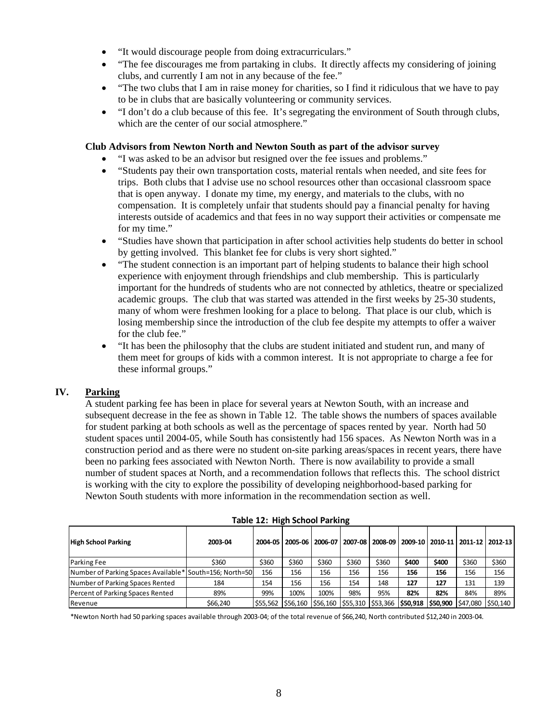- "It would discourage people from doing extracurriculars."
- "The fee discourages me from partaking in clubs. It directly affects my considering of joining clubs, and currently I am not in any because of the fee."
- "The two clubs that I am in raise money for charities, so I find it ridiculous that we have to pay to be in clubs that are basically volunteering or community services.
- "I don't do a club because of this fee. It's segregating the environment of South through clubs, which are the center of our social atmosphere."

#### **Club Advisors from Newton North and Newton South as part of the advisor survey**

- "I was asked to be an advisor but resigned over the fee issues and problems."
- "Students pay their own transportation costs, material rentals when needed, and site fees for trips. Both clubs that I advise use no school resources other than occasional classroom space that is open anyway. I donate my time, my energy, and materials to the clubs, with no compensation. It is completely unfair that students should pay a financial penalty for having interests outside of academics and that fees in no way support their activities or compensate me for my time."
- "Studies have shown that participation in after school activities help students do better in school by getting involved. This blanket fee for clubs is very short sighted."
- "The student connection is an important part of helping students to balance their high school experience with enjoyment through friendships and club membership. This is particularly important for the hundreds of students who are not connected by athletics, theatre or specialized academic groups. The club that was started was attended in the first weeks by 25-30 students, many of whom were freshmen looking for a place to belong. That place is our club, which is losing membership since the introduction of the club fee despite my attempts to offer a waiver for the club fee."
- "It has been the philosophy that the clubs are student initiated and student run, and many of them meet for groups of kids with a common interest. It is not appropriate to charge a fee for these informal groups."

#### **IV. Parking**

A student parking fee has been in place for several years at Newton South, with an increase and subsequent decrease in the fee as shown in Table 12. The table shows the numbers of spaces available for student parking at both schools as well as the percentage of spaces rented by year. North had 50 student spaces until 2004-05, while South has consistently had 156 spaces. As Newton North was in a construction period and as there were no student on-site parking areas/spaces in recent years, there have been no parking fees associated with Newton North. There is now availability to provide a small number of student spaces at North, and a recommendation follows that reflects this. The school district is working with the city to explore the possibility of developing neighborhood-based parking for Newton South students with more information in the recommendation section as well.

| <b>High School Parking</b>                              | 2003-04  |       |       |       |       | 2004-05 2005-06 2006-07 2007-08 2008-09 2009-10 2010-11 2011-12 2012-13                          |       |       |       |       |
|---------------------------------------------------------|----------|-------|-------|-------|-------|--------------------------------------------------------------------------------------------------|-------|-------|-------|-------|
| Parking Fee                                             | \$360    | \$360 | \$360 | \$360 | \$360 | \$360                                                                                            | \$400 | \$400 | \$360 | \$360 |
| Number of Parking Spaces Available* South=156; North=50 |          | 156   | 156   | 156   | 156   | 156                                                                                              | 156   | 156   | 156   | 156   |
| Number of Parking Spaces Rented                         | 184      | 154   | 156   | 156   | 154   | 148                                                                                              | 127   | 127   | 131   | 139   |
| Percent of Parking Spaces Rented                        | 89%      | 99%   | 100%  | 100%  | 98%   | 95%                                                                                              | 82%   | 82%   | 84%   | 89%   |
| Revenue                                                 | \$66,240 |       |       |       |       | \$55,562  \$56,160  \$56,160  \$55,310  \$53,366   <b>\$50,918  \$50,900</b>  \$47,080  \$50,140 |       |       |       |       |

|  |  | Table 12: High School Parking |
|--|--|-------------------------------|
|  |  |                               |

\*Newton North had 50 parking spaces available through 2003‐04; of the total revenue of \$66,240, North contributed \$12,240 in 2003‐04.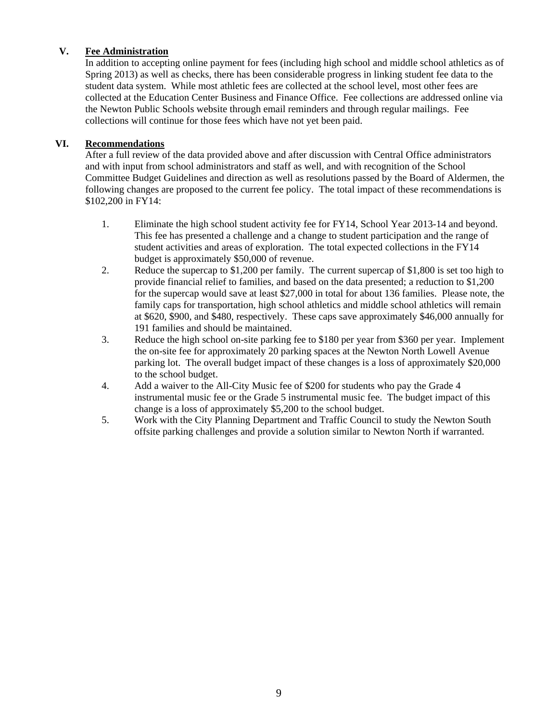#### **V. Fee Administration**

In addition to accepting online payment for fees (including high school and middle school athletics as of Spring 2013) as well as checks, there has been considerable progress in linking student fee data to the student data system. While most athletic fees are collected at the school level, most other fees are collected at the Education Center Business and Finance Office. Fee collections are addressed online via the Newton Public Schools website through email reminders and through regular mailings. Fee collections will continue for those fees which have not yet been paid.

#### **VI. Recommendations**

After a full review of the data provided above and after discussion with Central Office administrators and with input from school administrators and staff as well, and with recognition of the School Committee Budget Guidelines and direction as well as resolutions passed by the Board of Aldermen, the following changes are proposed to the current fee policy. The total impact of these recommendations is \$102,200 in FY14:

- 1. Eliminate the high school student activity fee for FY14, School Year 2013-14 and beyond. This fee has presented a challenge and a change to student participation and the range of student activities and areas of exploration. The total expected collections in the FY14 budget is approximately \$50,000 of revenue.
- 2. Reduce the supercap to \$1,200 per family. The current supercap of \$1,800 is set too high to provide financial relief to families, and based on the data presented; a reduction to \$1,200 for the supercap would save at least \$27,000 in total for about 136 families. Please note, the family caps for transportation, high school athletics and middle school athletics will remain at \$620, \$900, and \$480, respectively. These caps save approximately \$46,000 annually for 191 families and should be maintained.
- 3. Reduce the high school on-site parking fee to \$180 per year from \$360 per year. Implement the on-site fee for approximately 20 parking spaces at the Newton North Lowell Avenue parking lot. The overall budget impact of these changes is a loss of approximately \$20,000 to the school budget.
- 4. Add a waiver to the All-City Music fee of \$200 for students who pay the Grade 4 instrumental music fee or the Grade 5 instrumental music fee. The budget impact of this change is a loss of approximately \$5,200 to the school budget.
- 5. Work with the City Planning Department and Traffic Council to study the Newton South offsite parking challenges and provide a solution similar to Newton North if warranted.